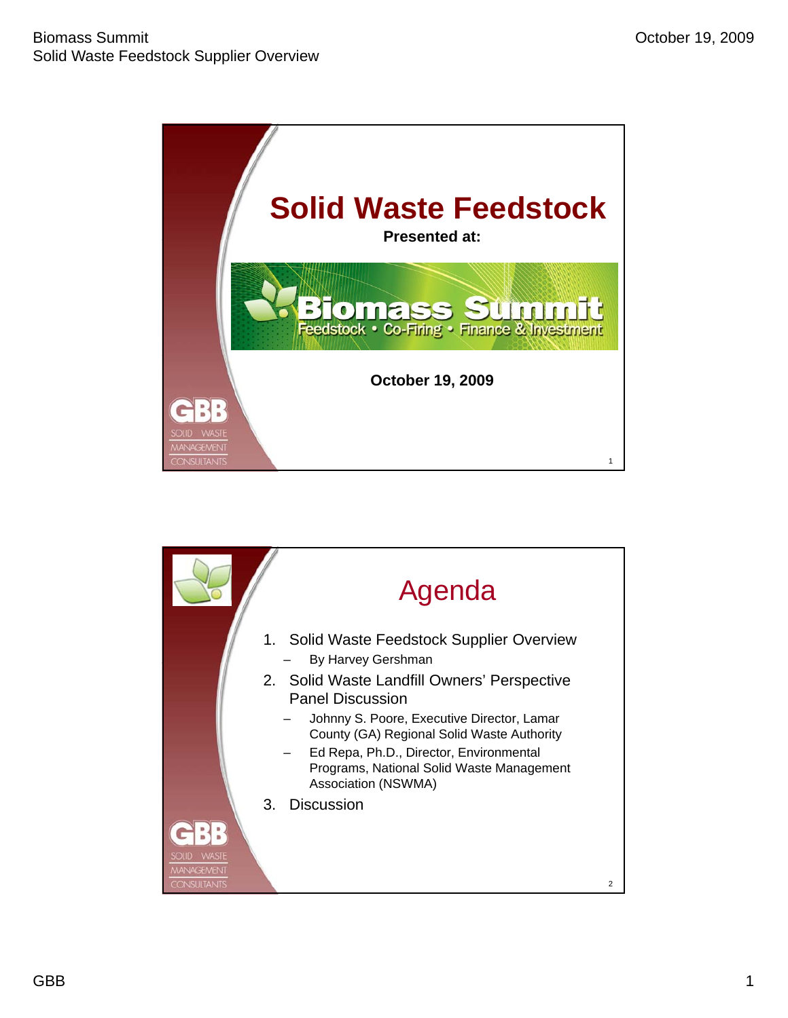

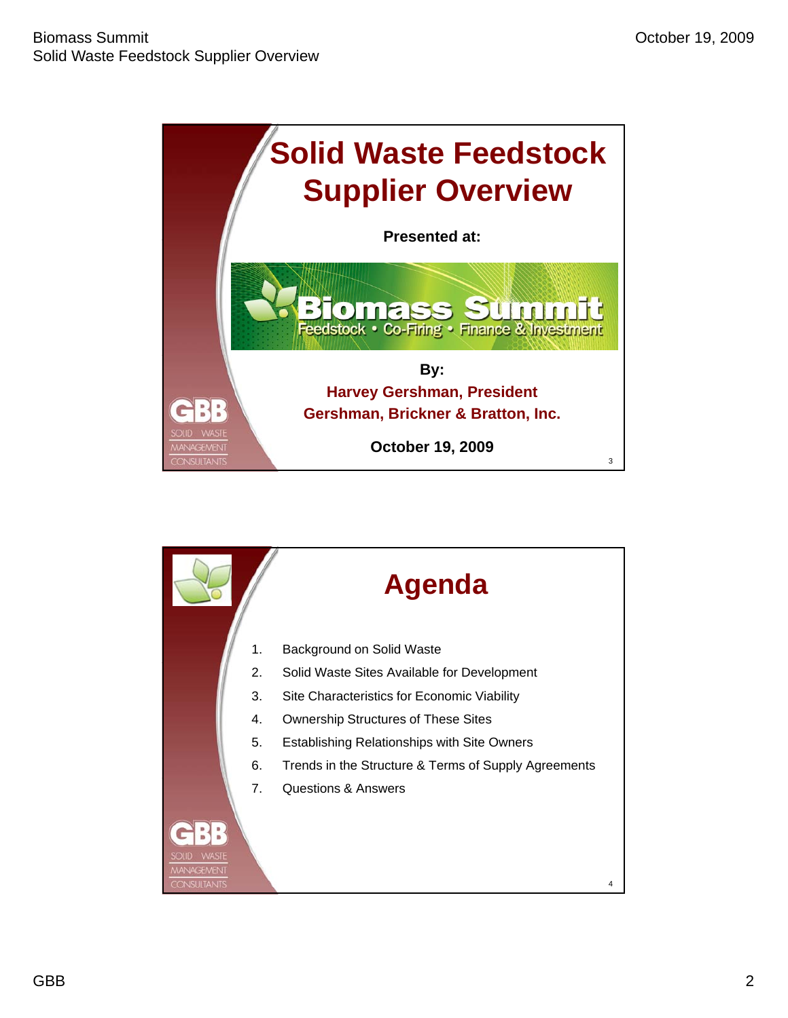

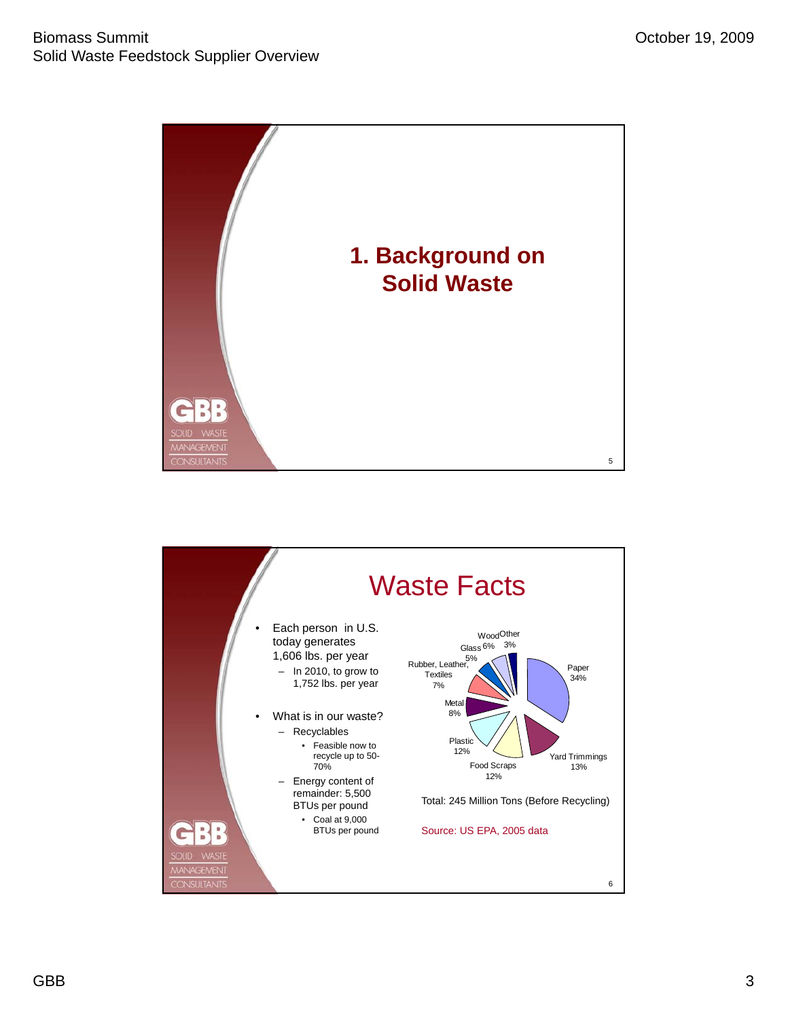

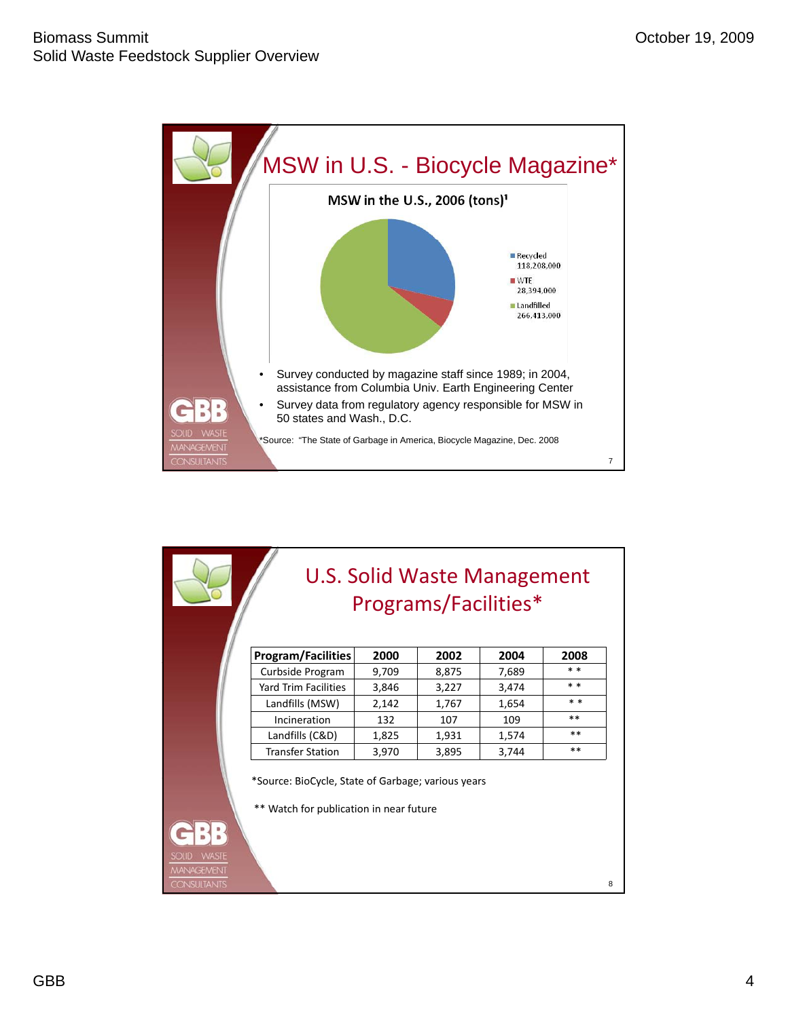

| U.S. Solid Waste Management<br>Programs/Facilities* |                                                                                               |       |       |       |       |
|-----------------------------------------------------|-----------------------------------------------------------------------------------------------|-------|-------|-------|-------|
|                                                     | <b>Program/Facilities</b>                                                                     | 2000  | 2002  | 2004  | 2008  |
|                                                     | Curbside Program                                                                              | 9,709 | 8,875 | 7,689 | $**$  |
|                                                     | Yard Trim Facilities                                                                          | 3,846 | 3,227 | 3,474 | * *   |
|                                                     | Landfills (MSW)                                                                               | 2,142 | 1,767 | 1,654 | $* *$ |
|                                                     | Incineration                                                                                  | 132   | 107   | 109   | $***$ |
|                                                     | Landfills (C&D)                                                                               | 1,825 | 1,931 | 1,574 | **    |
|                                                     | <b>Transfer Station</b>                                                                       | 3,970 | 3,895 | 3,744 | $* *$ |
| <b>WASTE</b><br><b>SOLID</b>                        | *Source: BioCycle, State of Garbage; various years<br>** Watch for publication in near future |       |       |       |       |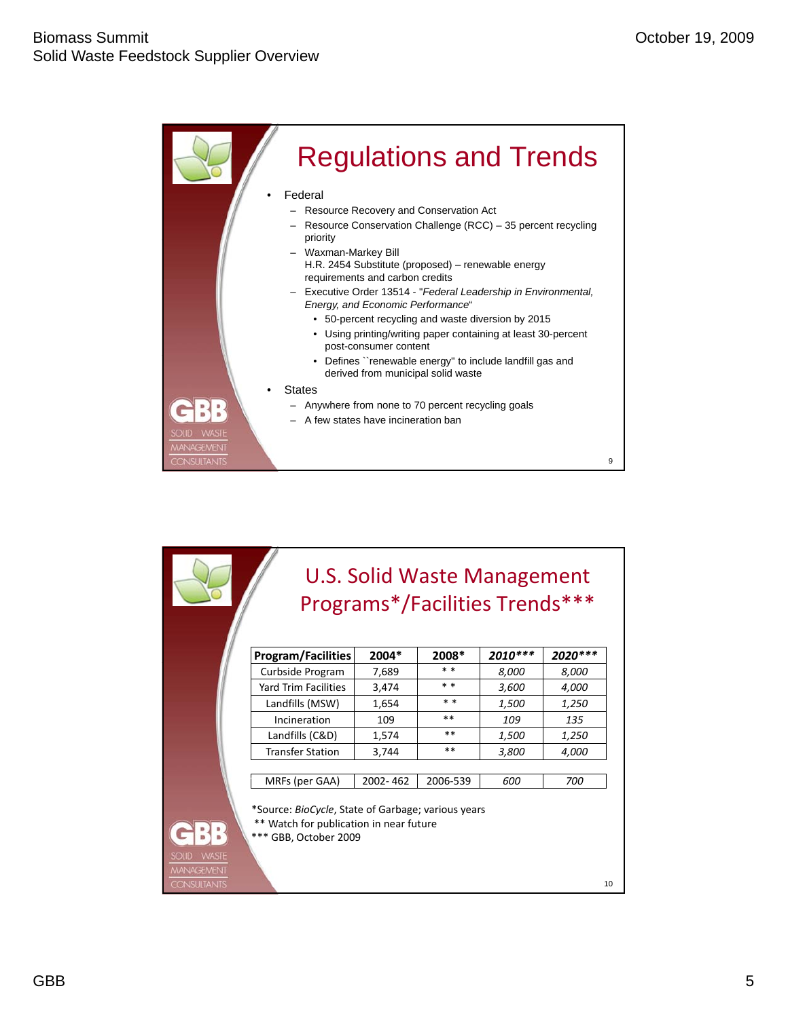

|                                                        |                                                                                                                        | U.S. Solid Waste Management<br>Programs*/Facilities Trends*** |          |          |         |
|--------------------------------------------------------|------------------------------------------------------------------------------------------------------------------------|---------------------------------------------------------------|----------|----------|---------|
|                                                        | <b>Program/Facilities</b>                                                                                              | 2004*                                                         | 2008*    | 2010 *** | 2020*** |
|                                                        | Curbside Program                                                                                                       | 7,689                                                         | * *      | 8,000    | 8,000   |
|                                                        | Yard Trim Facilities                                                                                                   | 3,474                                                         | $* *$    | 3,600    | 4,000   |
|                                                        | Landfills (MSW)                                                                                                        | 1,654                                                         | * *      | 1,500    | 1,250   |
|                                                        | Incineration                                                                                                           | 109                                                           | $***$    | 109      | 135     |
|                                                        | Landfills (C&D)                                                                                                        | 1,574                                                         | **       | 1,500    | 1,250   |
|                                                        | <b>Transfer Station</b>                                                                                                | 3,744                                                         | **       | 3,800    | 4,000   |
|                                                        |                                                                                                                        |                                                               |          |          |         |
|                                                        | MRFs (per GAA)                                                                                                         | 2002-462                                                      | 2006-539 | 600      | 700     |
|                                                        | *Source: BioCycle, State of Garbage; various years<br>** Watch for publication in near future<br>*** GBB, October 2009 |                                                               |          |          |         |
| SOLID WASTE<br><b>MANAGEMENT</b><br><b>CONSULTANTS</b> |                                                                                                                        |                                                               |          |          | 10      |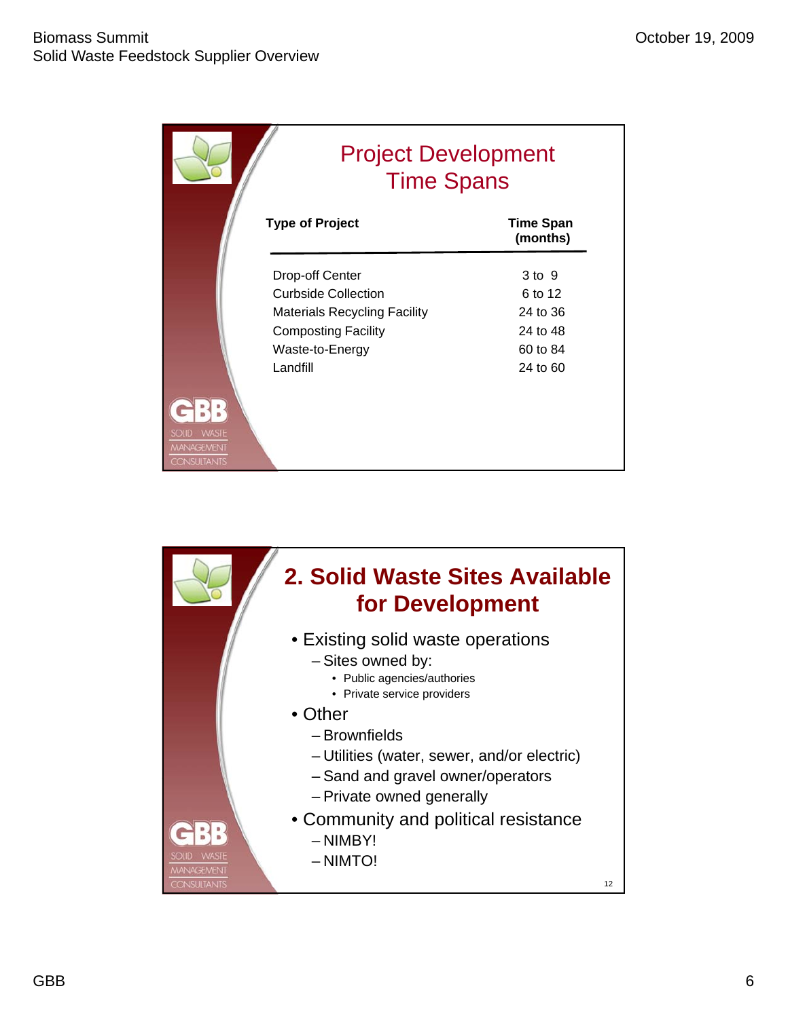|                                                                         | <b>Project Development</b><br><b>Time Spans</b> |                              |  |  |
|-------------------------------------------------------------------------|-------------------------------------------------|------------------------------|--|--|
|                                                                         | <b>Type of Project</b>                          | <b>Time Span</b><br>(months) |  |  |
|                                                                         | <b>Drop-off Center</b>                          | 3 to 9                       |  |  |
|                                                                         | <b>Curbside Collection</b>                      | 6 to 12                      |  |  |
|                                                                         | <b>Materials Recycling Facility</b>             | 24 to 36                     |  |  |
|                                                                         | <b>Composting Facility</b>                      | 24 to 48                     |  |  |
|                                                                         | Waste-to-Energy                                 | 60 to 84                     |  |  |
|                                                                         | Landfill                                        | 24 to 60                     |  |  |
| <b>WASTE</b><br><b>SOLID</b><br><b>MANAGEMENT</b><br><b>CONSULTANTS</b> |                                                 |                              |  |  |

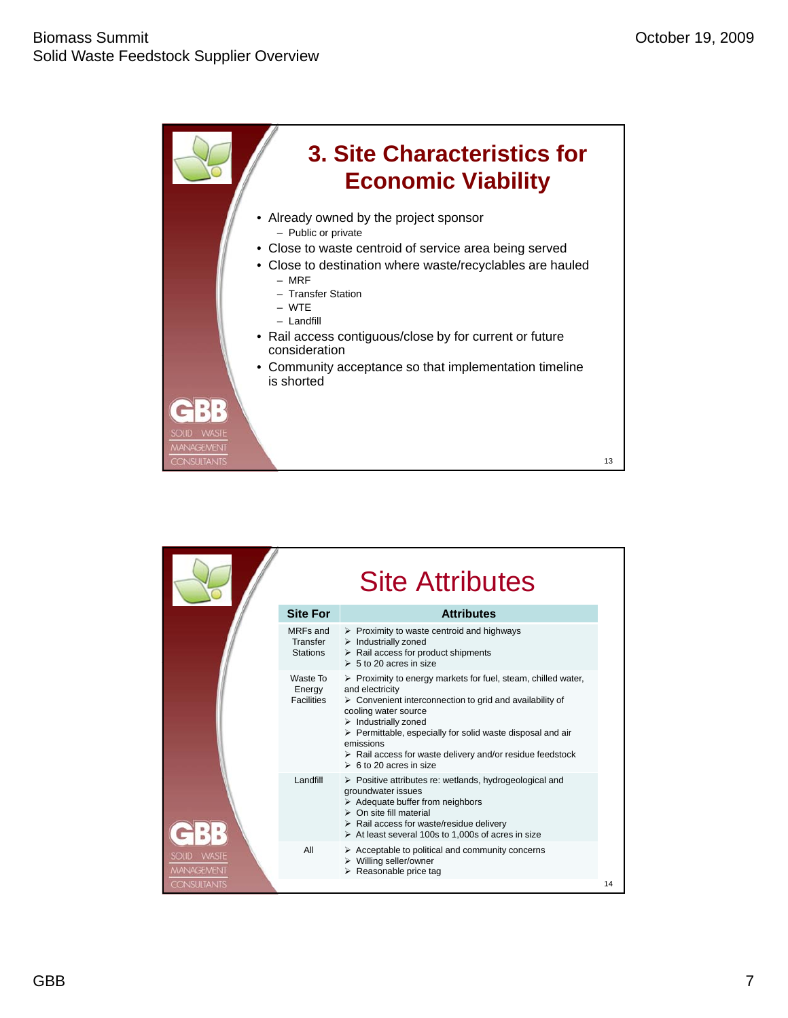

|                                           |                                         | <b>Site Attributes</b>                                                                                                                                                                                                                                                                                                                                                                                                           |    |
|-------------------------------------------|-----------------------------------------|----------------------------------------------------------------------------------------------------------------------------------------------------------------------------------------------------------------------------------------------------------------------------------------------------------------------------------------------------------------------------------------------------------------------------------|----|
|                                           | <b>Site For</b>                         | <b>Attributes</b>                                                                                                                                                                                                                                                                                                                                                                                                                |    |
|                                           | MRFs and<br>Transfer<br>Stations        | $\triangleright$ Proximity to waste centroid and highways<br>$\triangleright$ Industrially zoned<br>$\triangleright$ Rail access for product shipments<br>$\geq 5$ to 20 acres in size                                                                                                                                                                                                                                           |    |
|                                           | Waste To<br>Energy<br><b>Facilities</b> | $\triangleright$ Proximity to energy markets for fuel, steam, chilled water,<br>and electricity<br>$\triangleright$ Convenient interconnection to grid and availability of<br>cooling water source<br>$\triangleright$ Industrially zoned<br>> Permittable, especially for solid waste disposal and air<br>emissions<br>$\triangleright$ Rail access for waste delivery and/or residue feedstock<br>$\geq 6$ to 20 acres in size |    |
|                                           | Landfill                                | $\triangleright$ Positive attributes re: wetlands, hydrogeological and<br>groundwater issues<br>$\triangleright$ Adequate buffer from neighbors<br>$\triangleright$ On site fill material<br>$\triangleright$ Rail access for waste/residue delivery<br>$\triangleright$ At least several 100s to 1,000s of acres in size                                                                                                        |    |
| <b>WASTE</b><br>SOUD<br><b>MANAGEMENT</b> | All                                     | $\triangleright$ Acceptable to political and community concerns<br>$\triangleright$ Willing seller/owner<br>$\triangleright$ Reasonable price tag                                                                                                                                                                                                                                                                                |    |
| <b>CONSULTANTS</b>                        |                                         |                                                                                                                                                                                                                                                                                                                                                                                                                                  | 14 |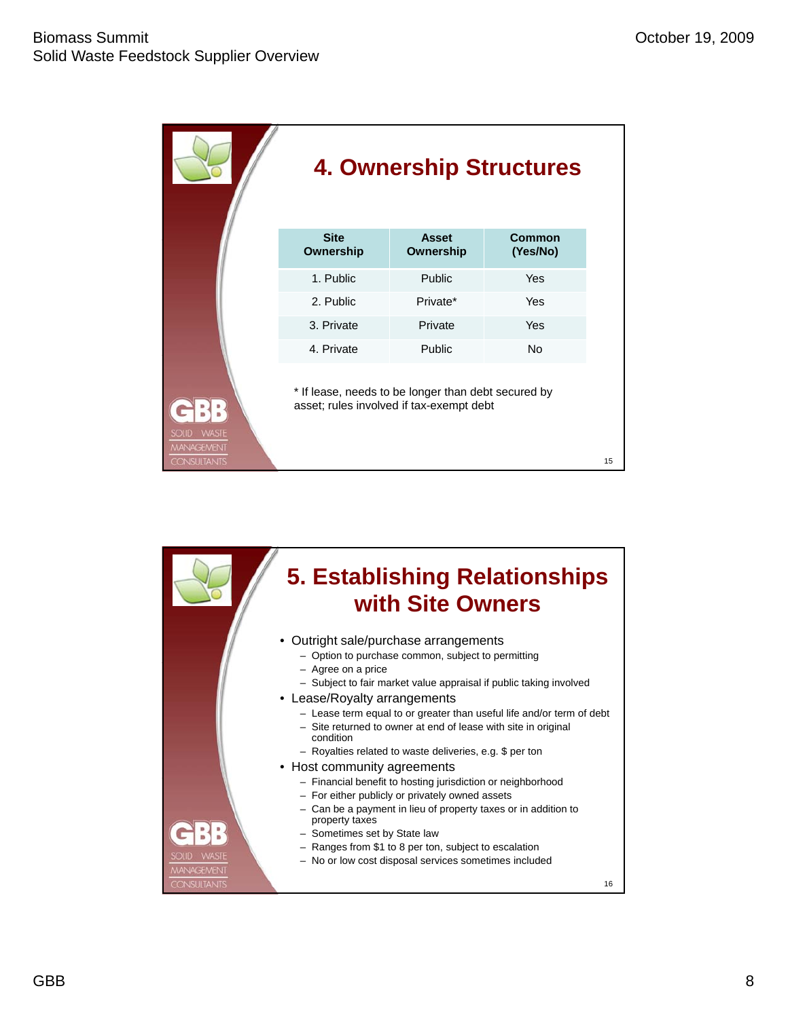|                                                  | <b>4. Ownership Structures</b>                                                                  |                           |                    |    |  |
|--------------------------------------------------|-------------------------------------------------------------------------------------------------|---------------------------|--------------------|----|--|
|                                                  | <b>Site</b><br>Ownership                                                                        | <b>Asset</b><br>Ownership | Common<br>(Yes/No) |    |  |
|                                                  | 1. Public                                                                                       | Public                    | Yes                |    |  |
|                                                  | 2. Public                                                                                       | Private*                  | Yes                |    |  |
|                                                  | 3. Private                                                                                      | Private                   | Yes                |    |  |
|                                                  | 4. Private                                                                                      | Public                    | <b>No</b>          |    |  |
| <b>WASTE</b><br><b>SOUD</b><br><b>MANAGEMENT</b> | * If lease, needs to be longer than debt secured by<br>asset; rules involved if tax-exempt debt |                           |                    |    |  |
| <b>CONSULTANTS</b>                               |                                                                                                 |                           |                    | 15 |  |

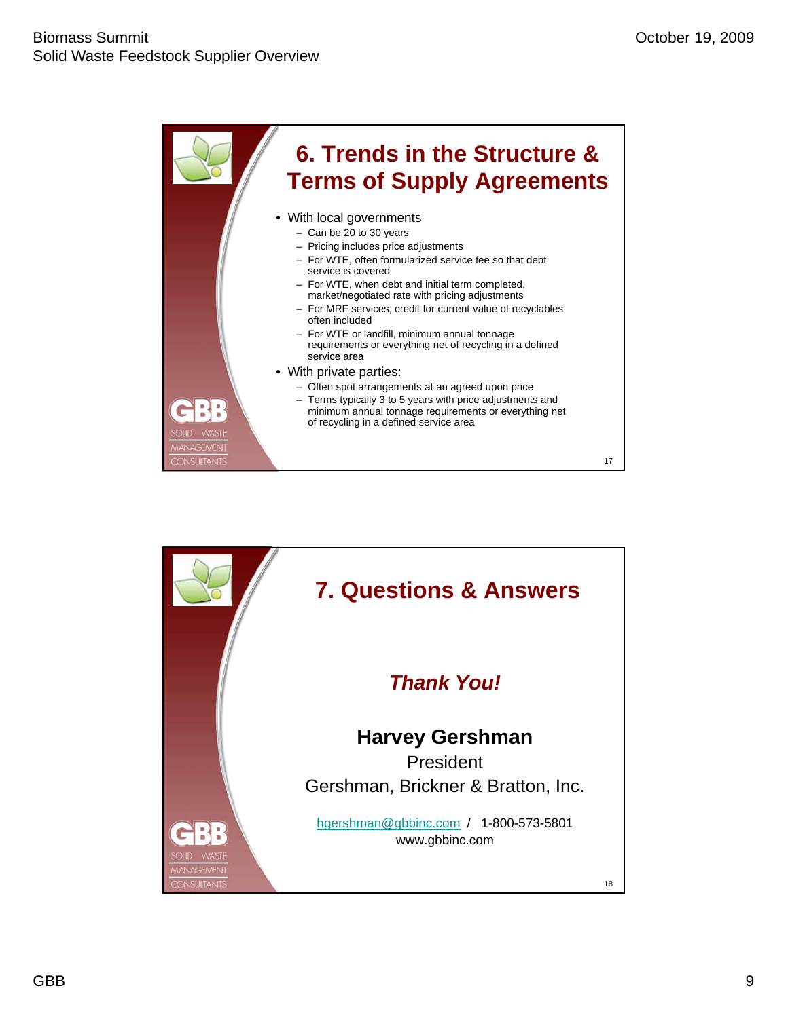

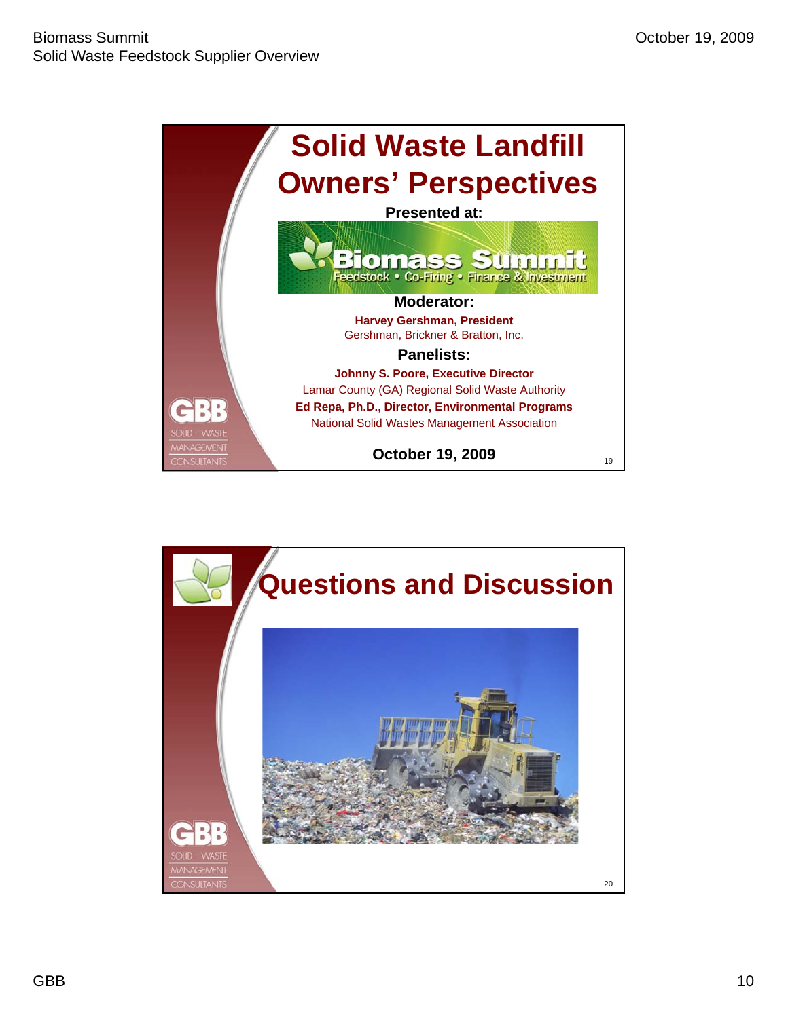

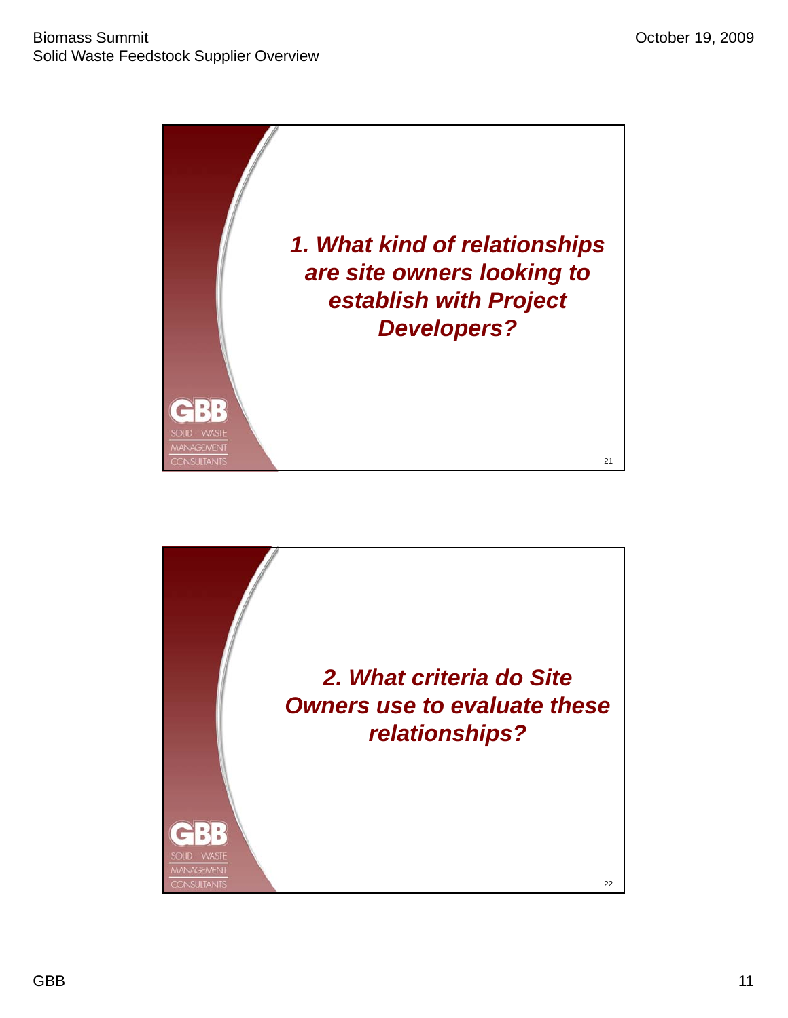

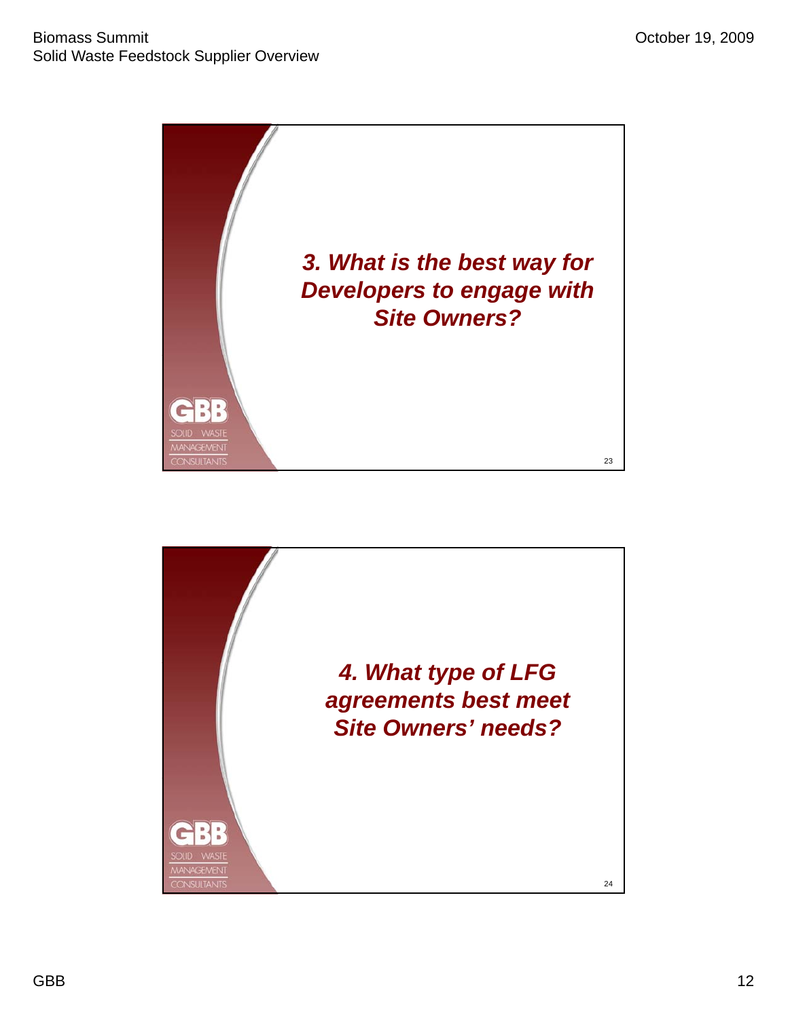

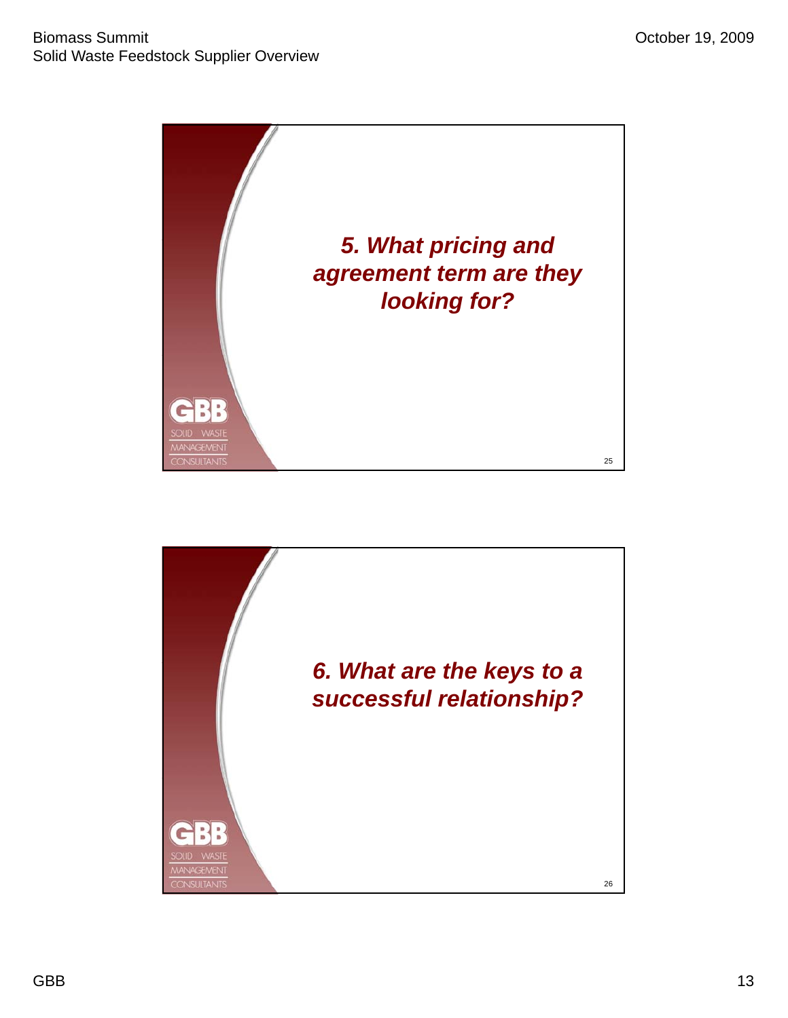